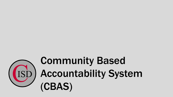

# Community Based Accountability System (CBAS)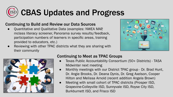

#### Continuing to Build and Review our Data Sources

- Quantitative and Qualitative Data (examples: NWEA MAP, mclass literacy screener, Panorama survey results/feedback, participation numbers of learners in specific areas, training provided to educators, etc.)
- Reviewing with other TPAC districts what they are sharing with their community





### Continuing to Meet as TPAC Groups

- Texas Public Accountability Consortium (50+ Districts) TASA Midwinter next meeting
- Monthly meetings with our District TPAC group Dr. Brad Hunt, Dr. Angie Brooks, Dr. Deana Dynis, Dr. Greg Axelson, Cooper Hilton and Melissa Arnold (recent addition Angela Brown)
- **●** Meeting with small cohort of TPAC districts (Prosper ISD, Grapevine-Colleyville ISD, Sunnyvale ISD, Royse City ISD, Burkburnett ISD, and Frisco ISD